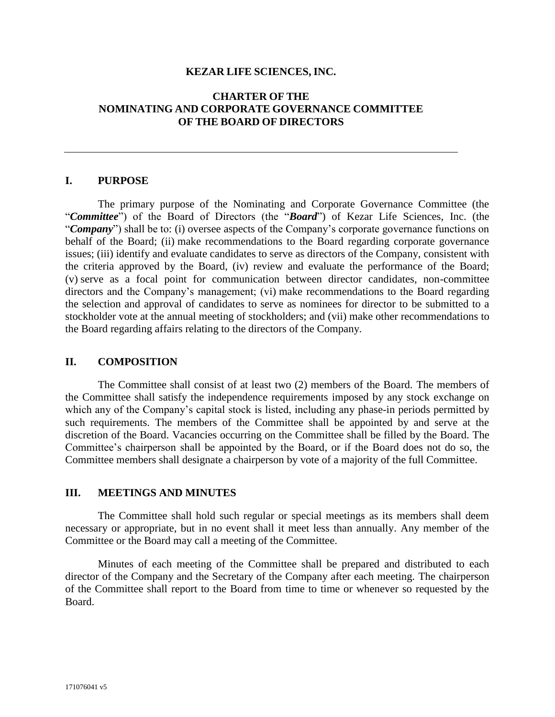#### **KEZAR LIFE SCIENCES, INC.**

## **CHARTER OF THE NOMINATING AND CORPORATE GOVERNANCE COMMITTEE OF THE BOARD OF DIRECTORS**

#### **I. PURPOSE**

The primary purpose of the Nominating and Corporate Governance Committee (the "*Committee*") of the Board of Directors (the "*Board*") of Kezar Life Sciences, Inc. (the "*Company*") shall be to: (i) oversee aspects of the Company's corporate governance functions on behalf of the Board; (ii) make recommendations to the Board regarding corporate governance issues; (iii) identify and evaluate candidates to serve as directors of the Company, consistent with the criteria approved by the Board, (iv) review and evaluate the performance of the Board; (v) serve as a focal point for communication between director candidates, non-committee directors and the Company's management; (vi) make recommendations to the Board regarding the selection and approval of candidates to serve as nominees for director to be submitted to a stockholder vote at the annual meeting of stockholders; and (vii) make other recommendations to the Board regarding affairs relating to the directors of the Company.

#### **II. COMPOSITION**

The Committee shall consist of at least two (2) members of the Board. The members of the Committee shall satisfy the independence requirements imposed by any stock exchange on which any of the Company's capital stock is listed, including any phase-in periods permitted by such requirements. The members of the Committee shall be appointed by and serve at the discretion of the Board. Vacancies occurring on the Committee shall be filled by the Board. The Committee's chairperson shall be appointed by the Board, or if the Board does not do so, the Committee members shall designate a chairperson by vote of a majority of the full Committee.

## **III. MEETINGS AND MINUTES**

The Committee shall hold such regular or special meetings as its members shall deem necessary or appropriate, but in no event shall it meet less than annually. Any member of the Committee or the Board may call a meeting of the Committee.

Minutes of each meeting of the Committee shall be prepared and distributed to each director of the Company and the Secretary of the Company after each meeting. The chairperson of the Committee shall report to the Board from time to time or whenever so requested by the Board.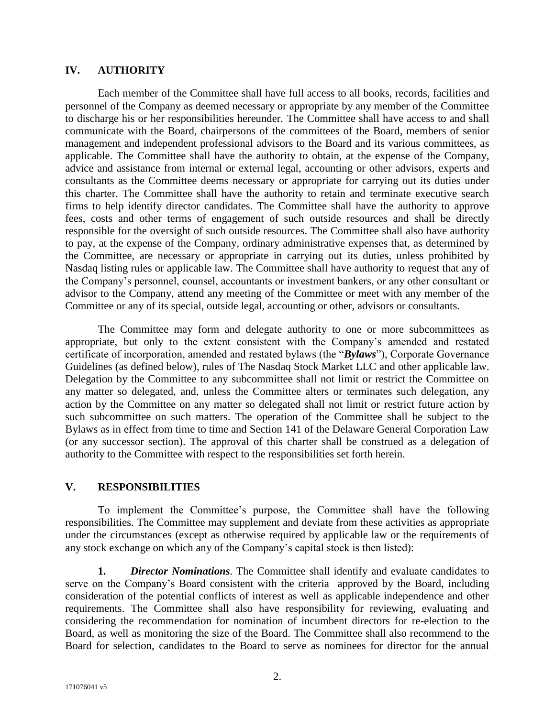### **IV. AUTHORITY**

Each member of the Committee shall have full access to all books, records, facilities and personnel of the Company as deemed necessary or appropriate by any member of the Committee to discharge his or her responsibilities hereunder. The Committee shall have access to and shall communicate with the Board, chairpersons of the committees of the Board, members of senior management and independent professional advisors to the Board and its various committees, as applicable. The Committee shall have the authority to obtain, at the expense of the Company, advice and assistance from internal or external legal, accounting or other advisors, experts and consultants as the Committee deems necessary or appropriate for carrying out its duties under this charter. The Committee shall have the authority to retain and terminate executive search firms to help identify director candidates. The Committee shall have the authority to approve fees, costs and other terms of engagement of such outside resources and shall be directly responsible for the oversight of such outside resources. The Committee shall also have authority to pay, at the expense of the Company, ordinary administrative expenses that, as determined by the Committee, are necessary or appropriate in carrying out its duties, unless prohibited by Nasdaq listing rules or applicable law. The Committee shall have authority to request that any of the Company's personnel, counsel, accountants or investment bankers, or any other consultant or advisor to the Company, attend any meeting of the Committee or meet with any member of the Committee or any of its special, outside legal, accounting or other, advisors or consultants.

The Committee may form and delegate authority to one or more subcommittees as appropriate, but only to the extent consistent with the Company's amended and restated certificate of incorporation, amended and restated bylaws (the "*Bylaws*"), Corporate Governance Guidelines (as defined below), rules of The Nasdaq Stock Market LLC and other applicable law. Delegation by the Committee to any subcommittee shall not limit or restrict the Committee on any matter so delegated, and, unless the Committee alters or terminates such delegation, any action by the Committee on any matter so delegated shall not limit or restrict future action by such subcommittee on such matters. The operation of the Committee shall be subject to the Bylaws as in effect from time to time and Section 141 of the Delaware General Corporation Law (or any successor section). The approval of this charter shall be construed as a delegation of authority to the Committee with respect to the responsibilities set forth herein.

# **V. RESPONSIBILITIES**

To implement the Committee's purpose, the Committee shall have the following responsibilities. The Committee may supplement and deviate from these activities as appropriate under the circumstances (except as otherwise required by applicable law or the requirements of any stock exchange on which any of the Company's capital stock is then listed):

**1.** *Director Nominations.* The Committee shall identify and evaluate candidates to serve on the Company's Board consistent with the criteria approved by the Board, including consideration of the potential conflicts of interest as well as applicable independence and other requirements. The Committee shall also have responsibility for reviewing, evaluating and considering the recommendation for nomination of incumbent directors for re-election to the Board, as well as monitoring the size of the Board. The Committee shall also recommend to the Board for selection, candidates to the Board to serve as nominees for director for the annual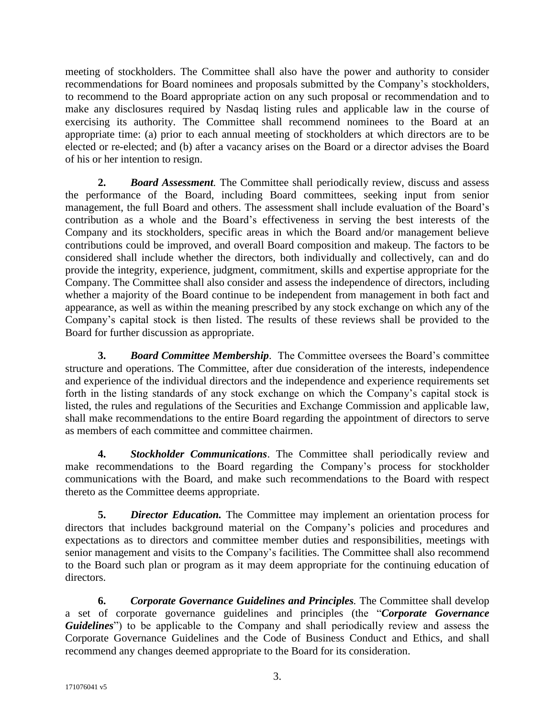meeting of stockholders. The Committee shall also have the power and authority to consider recommendations for Board nominees and proposals submitted by the Company's stockholders, to recommend to the Board appropriate action on any such proposal or recommendation and to make any disclosures required by Nasdaq listing rules and applicable law in the course of exercising its authority. The Committee shall recommend nominees to the Board at an appropriate time: (a) prior to each annual meeting of stockholders at which directors are to be elected or re-elected; and (b) after a vacancy arises on the Board or a director advises the Board of his or her intention to resign.

**2.** *Board Assessment.* The Committee shall periodically review, discuss and assess the performance of the Board, including Board committees, seeking input from senior management, the full Board and others. The assessment shall include evaluation of the Board's contribution as a whole and the Board's effectiveness in serving the best interests of the Company and its stockholders, specific areas in which the Board and/or management believe contributions could be improved, and overall Board composition and makeup. The factors to be considered shall include whether the directors, both individually and collectively, can and do provide the integrity, experience, judgment, commitment, skills and expertise appropriate for the Company. The Committee shall also consider and assess the independence of directors, including whether a majority of the Board continue to be independent from management in both fact and appearance, as well as within the meaning prescribed by any stock exchange on which any of the Company's capital stock is then listed. The results of these reviews shall be provided to the Board for further discussion as appropriate.

**3.** *Board Committee Membership*. The Committee oversees the Board's committee structure and operations. The Committee, after due consideration of the interests, independence and experience of the individual directors and the independence and experience requirements set forth in the listing standards of any stock exchange on which the Company's capital stock is listed, the rules and regulations of the Securities and Exchange Commission and applicable law, shall make recommendations to the entire Board regarding the appointment of directors to serve as members of each committee and committee chairmen.

**4.** *Stockholder Communications*. The Committee shall periodically review and make recommendations to the Board regarding the Company's process for stockholder communications with the Board, and make such recommendations to the Board with respect thereto as the Committee deems appropriate.

**5.** *Director Education.* The Committee may implement an orientation process for directors that includes background material on the Company's policies and procedures and expectations as to directors and committee member duties and responsibilities, meetings with senior management and visits to the Company's facilities. The Committee shall also recommend to the Board such plan or program as it may deem appropriate for the continuing education of directors.

**6.** *Corporate Governance Guidelines and Principles.* The Committee shall develop a set of corporate governance guidelines and principles (the "*Corporate Governance Guidelines*") to be applicable to the Company and shall periodically review and assess the Corporate Governance Guidelines and the Code of Business Conduct and Ethics, and shall recommend any changes deemed appropriate to the Board for its consideration.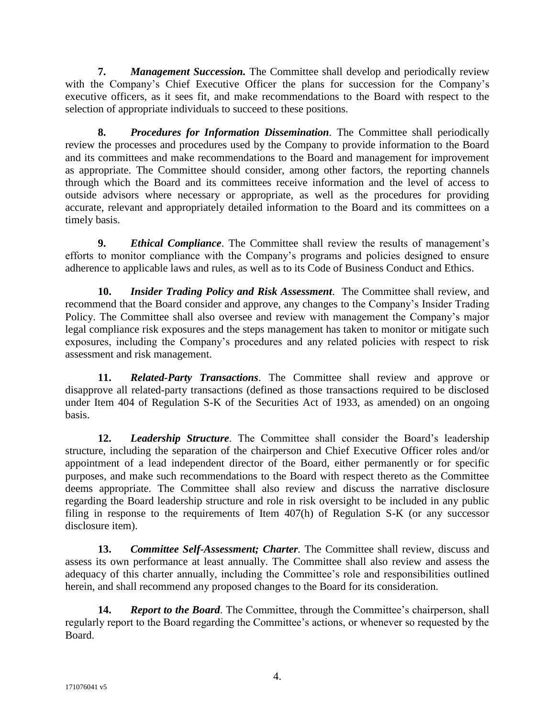**7.** *Management Succession.* The Committee shall develop and periodically review with the Company's Chief Executive Officer the plans for succession for the Company's executive officers, as it sees fit, and make recommendations to the Board with respect to the selection of appropriate individuals to succeed to these positions.

**8.** *Procedures for Information Dissemination.* The Committee shall periodically review the processes and procedures used by the Company to provide information to the Board and its committees and make recommendations to the Board and management for improvement as appropriate. The Committee should consider, among other factors, the reporting channels through which the Board and its committees receive information and the level of access to outside advisors where necessary or appropriate, as well as the procedures for providing accurate, relevant and appropriately detailed information to the Board and its committees on a timely basis.

**9.** *Ethical Compliance*. The Committee shall review the results of management's efforts to monitor compliance with the Company's programs and policies designed to ensure adherence to applicable laws and rules, as well as to its Code of Business Conduct and Ethics.

**10.** *Insider Trading Policy and Risk Assessment*. The Committee shall review, and recommend that the Board consider and approve, any changes to the Company's Insider Trading Policy. The Committee shall also oversee and review with management the Company's major legal compliance risk exposures and the steps management has taken to monitor or mitigate such exposures, including the Company's procedures and any related policies with respect to risk assessment and risk management.

**11.** *Related-Party Transactions*. The Committee shall review and approve or disapprove all related-party transactions (defined as those transactions required to be disclosed under Item 404 of Regulation S-K of the Securities Act of 1933, as amended) on an ongoing basis.

**12.** *Leadership Structure*. The Committee shall consider the Board's leadership structure, including the separation of the chairperson and Chief Executive Officer roles and/or appointment of a lead independent director of the Board, either permanently or for specific purposes, and make such recommendations to the Board with respect thereto as the Committee deems appropriate. The Committee shall also review and discuss the narrative disclosure regarding the Board leadership structure and role in risk oversight to be included in any public filing in response to the requirements of Item 407(h) of Regulation S-K (or any successor disclosure item).

**13.** *Committee Self-Assessment; Charter.* The Committee shall review, discuss and assess its own performance at least annually. The Committee shall also review and assess the adequacy of this charter annually, including the Committee's role and responsibilities outlined herein, and shall recommend any proposed changes to the Board for its consideration.

**14.** *Report to the Board*. The Committee, through the Committee's chairperson, shall regularly report to the Board regarding the Committee's actions, or whenever so requested by the Board.